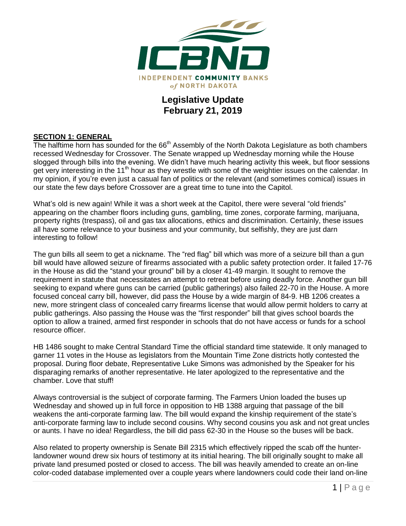

# **Legislative Update February 21, 2019**

## **SECTION 1: GENERAL**

The halftime horn has sounded for the  $66<sup>th</sup>$  Assembly of the North Dakota Legislature as both chambers recessed Wednesday for Crossover. The Senate wrapped up Wednesday morning while the House slogged through bills into the evening. We didn't have much hearing activity this week, but floor sessions get very interesting in the 11<sup>th</sup> hour as they wrestle with some of the weightier issues on the calendar. In my opinion, if you're even just a casual fan of politics or the relevant (and sometimes comical) issues in our state the few days before Crossover are a great time to tune into the Capitol.

What's old is new again! While it was a short week at the Capitol, there were several "old friends" appearing on the chamber floors including guns, gambling, time zones, corporate farming, marijuana, property rights (trespass), oil and gas tax allocations, ethics and discrimination. Certainly, these issues all have some relevance to your business and your community, but selfishly, they are just darn interesting to follow!

The gun bills all seem to get a nickname. The "red flag" bill which was more of a seizure bill than a gun bill would have allowed seizure of firearms associated with a public safety protection order. It failed 17-76 in the House as did the "stand your ground" bill by a closer 41-49 margin. It sought to remove the requirement in statute that necessitates an attempt to retreat before using deadly force. Another gun bill seeking to expand where guns can be carried (public gatherings) also failed 22-70 in the House. A more focused conceal carry bill, however, did pass the House by a wide margin of 84-9. HB 1206 creates a new, more stringent class of concealed carry firearms license that would allow permit holders to carry at public gatherings. Also passing the House was the "first responder" bill that gives school boards the option to allow a trained, armed first responder in schools that do not have access or funds for a school resource officer.

HB 1486 sought to make Central Standard Time the official standard time statewide. It only managed to garner 11 votes in the House as legislators from the Mountain Time Zone districts hotly contested the proposal. During floor debate, Representative Luke Simons was admonished by the Speaker for his disparaging remarks of another representative. He later apologized to the representative and the chamber. Love that stuff!

Always controversial is the subject of corporate farming. The Farmers Union loaded the buses up Wednesday and showed up in full force in opposition to HB 1388 arguing that passage of the bill weakens the anti-corporate farming law. The bill would expand the kinship requirement of the state's anti-corporate farming law to include second cousins. Why second cousins you ask and not great uncles or aunts. I have no idea! Regardless, the bill did pass 62-30 in the House so the buses will be back.

Also related to property ownership is Senate Bill 2315 which effectively ripped the scab off the hunterlandowner wound drew six hours of testimony at its initial hearing. The bill originally sought to make all private land presumed posted or closed to access. The bill was heavily amended to create an on-line color-coded database implemented over a couple years where landowners could code their land on-line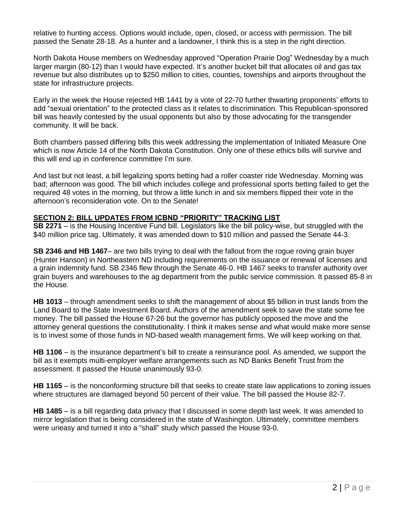relative to hunting access. Options would include, open, closed, or access with permission. The bill passed the Senate 28-18. As a hunter and a landowner, I think this is a step in the right direction.

North Dakota House members on Wednesday approved "Operation Prairie Dog" Wednesday by a much larger margin (80-12) than I would have expected. It's another bucket bill that allocates oil and gas tax revenue but also distributes up to \$250 million to cities, counties, townships and airports throughout the state for infrastructure projects.

Early in the week the House rejected HB 1441 by a vote of 22-70 further thwarting proponents' efforts to add "sexual orientation" to the protected class as it relates to discrimination. This Republican-sponsored bill was heavily contested by the usual opponents but also by those advocating for the transgender community. It will be back.

Both chambers passed differing bills this week addressing the implementation of Initiated Measure One which is now Article 14 of the North Dakota Constitution. Only one of these ethics bills will survive and this will end up in conference committee I'm sure.

And last but not least, a bill legalizing sports betting had a roller coaster ride Wednesday. Morning was bad; afternoon was good. The bill which includes college and professional sports betting failed to get the required 48 votes in the morning, but throw a little lunch in and six members flipped their vote in the afternoon's reconsideration vote. On to the Senate!

#### **SECTION 2: BILL UPDATES FROM ICBND "PRIORITY" TRACKING LIST**

**SB 2271** – is the Housing Incentive Fund bill. Legislators like the bill policy-wise, but struggled with the \$40 million price tag. Ultimately, it was amended down to \$10 million and passed the Senate 44-3.

**SB 2346 and HB 1467**– are two bills trying to deal with the fallout from the rogue roving grain buyer (Hunter Hanson) in Northeastern ND including requirements on the issuance or renewal of licenses and a grain indemnity fund. SB 2346 flew through the Senate 46-0. HB 1467 seeks to transfer authority over grain buyers and warehouses to the ag department from the public service commission. It passed 85-8 in the House.

**HB 1013** – through amendment seeks to shift the management of about \$5 billion in trust lands from the Land Board to the State Investment Board. Authors of the amendment seek to save the state some fee money. The bill passed the House 67-26 but the governor has publicly opposed the move and the attorney general questions the constitutionality. I think it makes sense and what would make more sense is to invest some of those funds in ND-based wealth management firms. We will keep working on that.

**HB 1106** – is the insurance department's bill to create a reinsurance pool. As amended, we support the bill as it exempts multi-employer welfare arrangements such as ND Banks Benefit Trust from the assessment. It passed the House unanimously 93-0.

**HB 1165** – is the nonconforming structure bill that seeks to create state law applications to zoning issues where structures are damaged beyond 50 percent of their value. The bill passed the House 82-7.

**HB 1485** – is a bill regarding data privacy that I discussed in some depth last week. It was amended to mirror legislation that is being considered in the state of Washington. Ultimately, committee members were uneasy and turned it into a "shall" study which passed the House 93-0.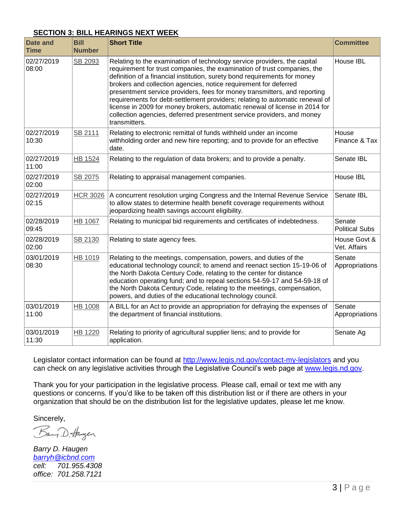## **SECTION 3: BILL HEARINGS NEXT WEEK**

| <b>Date and</b><br><b>Time</b> | <b>Bill</b><br><b>Number</b> | <b>Short Title</b>                                                                                                                                                                                                                                                                                                                                                                                                                                                                                                                                                                                                                           | <b>Committee</b>                |
|--------------------------------|------------------------------|----------------------------------------------------------------------------------------------------------------------------------------------------------------------------------------------------------------------------------------------------------------------------------------------------------------------------------------------------------------------------------------------------------------------------------------------------------------------------------------------------------------------------------------------------------------------------------------------------------------------------------------------|---------------------------------|
| 02/27/2019<br>08:00            | SB 2093                      | Relating to the examination of technology service providers, the capital<br>requirement for trust companies, the examination of trust companies, the<br>definition of a financial institution, surety bond requirements for money<br>brokers and collection agencies, notice requirement for deferred<br>presentment service providers, fees for money transmitters, and reporting<br>requirements for debt-settlement providers; relating to automatic renewal of<br>license in 2009 for money brokers, automatic renewal of license in 2014 for<br>collection agencies, deferred presentment service providers, and money<br>transmitters. | House IBL                       |
| 02/27/2019<br>10:30            | SB 2111                      | Relating to electronic remittal of funds withheld under an income<br>withholding order and new hire reporting; and to provide for an effective<br>date.                                                                                                                                                                                                                                                                                                                                                                                                                                                                                      | House<br>Finance & Tax          |
| 02/27/2019<br>11:00            | <b>HB 1524</b>               | Relating to the regulation of data brokers; and to provide a penalty.                                                                                                                                                                                                                                                                                                                                                                                                                                                                                                                                                                        | Senate IBL                      |
| 02/27/2019<br>02:00            | SB 2075                      | Relating to appraisal management companies.                                                                                                                                                                                                                                                                                                                                                                                                                                                                                                                                                                                                  | House IBL                       |
| 02/27/2019<br>02:15            | <b>HCR 3026</b>              | A concurrent resolution urging Congress and the Internal Revenue Service<br>to allow states to determine health benefit coverage requirements without<br>jeopardizing health savings account eligibility.                                                                                                                                                                                                                                                                                                                                                                                                                                    | Senate IBL                      |
| 02/28/2019<br>09:45            | <b>HB 1067</b>               | Relating to municipal bid requirements and certificates of indebtedness.                                                                                                                                                                                                                                                                                                                                                                                                                                                                                                                                                                     | Senate<br><b>Political Subs</b> |
| 02/28/2019<br>02:00            | SB 2130                      | Relating to state agency fees.                                                                                                                                                                                                                                                                                                                                                                                                                                                                                                                                                                                                               | House Govt &<br>Vet. Affairs    |
| 03/01/2019<br>08:30            | HB 1019                      | Relating to the meetings, compensation, powers, and duties of the<br>educational technology council; to amend and reenact section 15-19-06 of<br>the North Dakota Century Code, relating to the center for distance<br>education operating fund; and to repeal sections 54-59-17 and 54-59-18 of<br>the North Dakota Century Code, relating to the meetings, compensation,<br>powers, and duties of the educational technology council.                                                                                                                                                                                                      | Senate<br>Appropriations        |
| 03/01/2019<br>11:00            | <b>HB 1008</b>               | A BILL for an Act to provide an appropriation for defraying the expenses of<br>the department of financial institutions.                                                                                                                                                                                                                                                                                                                                                                                                                                                                                                                     | Senate<br>Appropriations        |
| 03/01/2019<br>11:30            | HB 1220                      | Relating to priority of agricultural supplier liens; and to provide for<br>application.                                                                                                                                                                                                                                                                                                                                                                                                                                                                                                                                                      | Senate Ag                       |

Legislator contact information can be found at<http://www.legis.nd.gov/contact-my-legislators> and you can check on any legislative activities through the Legislative Council's web page at [www.legis.nd.gov.](http://www.legis.nd.gov/)

Thank you for your participation in the legislative process. Please call, email or text me with any questions or concerns. If you'd like to be taken off this distribution list or if there are others in your organization that should be on the distribution list for the legislative updates, please let me know.

Sincerely,<br>Bay D. Haugen

*Barry D. Haugen [barryh@icbnd.com](mailto:barryh@icbnd.com) cell: 701.955.4308 office: 701.258.7121*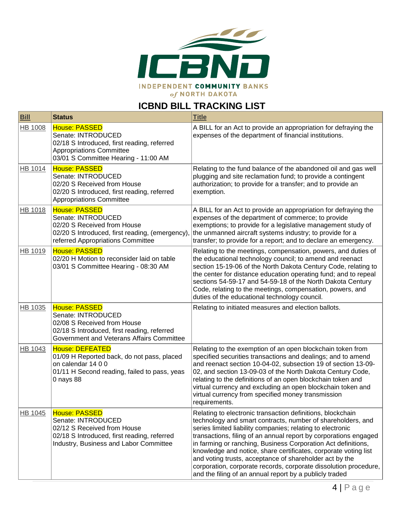

# **ICBND BILL TRACKING LIST**

| <b>Bill</b>    | <b>Status</b>                                                                                                                                                         | <b>Title</b>                                                                                                                                                                                                                                                                                                                                                                                                                                                                                                                                                                              |
|----------------|-----------------------------------------------------------------------------------------------------------------------------------------------------------------------|-------------------------------------------------------------------------------------------------------------------------------------------------------------------------------------------------------------------------------------------------------------------------------------------------------------------------------------------------------------------------------------------------------------------------------------------------------------------------------------------------------------------------------------------------------------------------------------------|
| <b>HB 1008</b> | <b>House: PASSED</b><br>Senate: INTRODUCED<br>02/18 S Introduced, first reading, referred<br><b>Appropriations Committee</b><br>03/01 S Committee Hearing - 11:00 AM  | A BILL for an Act to provide an appropriation for defraying the<br>expenses of the department of financial institutions.                                                                                                                                                                                                                                                                                                                                                                                                                                                                  |
| HB 1014        | <b>House: PASSED</b><br>Senate: INTRODUCED<br>02/20 S Received from House<br>02/20 S Introduced, first reading, referred<br><b>Appropriations Committee</b>           | Relating to the fund balance of the abandoned oil and gas well<br>plugging and site reclamation fund; to provide a contingent<br>authorization; to provide for a transfer; and to provide an<br>exemption.                                                                                                                                                                                                                                                                                                                                                                                |
| <b>HB 1018</b> | House: PASSED<br>Senate: INTRODUCED<br>02/20 S Received from House<br>02/20 S Introduced, first reading, (emergency),<br>referred Appropriations Committee            | A BILL for an Act to provide an appropriation for defraying the<br>expenses of the department of commerce; to provide<br>exemptions; to provide for a legislative management study of<br>the unmanned aircraft systems industry; to provide for a<br>transfer; to provide for a report; and to declare an emergency.                                                                                                                                                                                                                                                                      |
| <b>HB 1019</b> | House: PASSED<br>02/20 H Motion to reconsider laid on table<br>03/01 S Committee Hearing - 08:30 AM                                                                   | Relating to the meetings, compensation, powers, and duties of<br>the educational technology council; to amend and reenact<br>section 15-19-06 of the North Dakota Century Code, relating to<br>the center for distance education operating fund; and to repeal<br>sections 54-59-17 and 54-59-18 of the North Dakota Century<br>Code, relating to the meetings, compensation, powers, and<br>duties of the educational technology council.                                                                                                                                                |
| HB 1035        | <b>House: PASSED</b><br>Senate: INTRODUCED<br>02/08 S Received from House<br>02/18 S Introduced, first reading, referred<br>Government and Veterans Affairs Committee | Relating to initiated measures and election ballots.                                                                                                                                                                                                                                                                                                                                                                                                                                                                                                                                      |
| HB 1043        | <b>House: DEFEATED</b><br>01/09 H Reported back, do not pass, placed<br>on calendar 14 0 0<br>01/11 H Second reading, failed to pass, yeas<br>0 nays 88               | Relating to the exemption of an open blockchain token from<br>specified securities transactions and dealings; and to amend<br>and reenact section 10-04-02, subsection 19 of section 13-09-<br>02, and section 13-09-03 of the North Dakota Century Code,<br>relating to the definitions of an open blockchain token and<br>virtual currency and excluding an open blockchain token and<br>virtual currency from specified money transmission<br>requirements.                                                                                                                            |
| <b>HB 1045</b> | House: PASSED<br>Senate: INTRODUCED<br>02/12 S Received from House<br>02/18 S Introduced, first reading, referred<br>Industry, Business and Labor Committee           | Relating to electronic transaction definitions, blockchain<br>technology and smart contracts, number of shareholders, and<br>series limited liability companies; relating to electronic<br>transactions, filing of an annual report by corporations engaged<br>in farming or ranching, Business Corporation Act definitions,<br>knowledge and notice, share certificates, corporate voting list<br>and voting trusts, acceptance of shareholder act by the<br>corporation, corporate records, corporate dissolution procedure,<br>and the filing of an annual report by a publicly traded |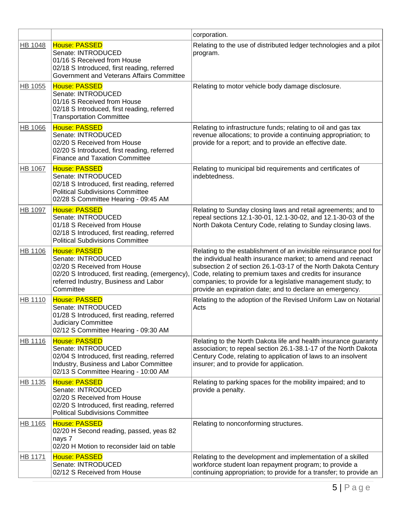|                |                                                                                                                                                                                    | corporation.                                                                                                                                                                                                                                                                                                                                                                                  |
|----------------|------------------------------------------------------------------------------------------------------------------------------------------------------------------------------------|-----------------------------------------------------------------------------------------------------------------------------------------------------------------------------------------------------------------------------------------------------------------------------------------------------------------------------------------------------------------------------------------------|
| <b>HB 1048</b> | <b>House: PASSED</b><br>Senate: INTRODUCED<br>01/16 S Received from House<br>02/18 S Introduced, first reading, referred<br>Government and Veterans Affairs Committee              | Relating to the use of distributed ledger technologies and a pilot<br>program.                                                                                                                                                                                                                                                                                                                |
| HB 1055        | <b>House: PASSED</b><br>Senate: INTRODUCED<br>01/16 S Received from House<br>02/18 S Introduced, first reading, referred<br><b>Transportation Committee</b>                        | Relating to motor vehicle body damage disclosure.                                                                                                                                                                                                                                                                                                                                             |
| <b>HB 1066</b> | <b>House: PASSED</b><br>Senate: INTRODUCED<br>02/20 S Received from House<br>02/20 S Introduced, first reading, referred<br><b>Finance and Taxation Committee</b>                  | Relating to infrastructure funds; relating to oil and gas tax<br>revenue allocations; to provide a continuing appropriation; to<br>provide for a report; and to provide an effective date.                                                                                                                                                                                                    |
| HB 1067        | <b>House: PASSED</b><br>Senate: INTRODUCED<br>02/18 S Introduced, first reading, referred<br><b>Political Subdivisions Committee</b><br>02/28 S Committee Hearing - 09:45 AM       | Relating to municipal bid requirements and certificates of<br>indebtedness.                                                                                                                                                                                                                                                                                                                   |
| <b>HB 1097</b> | <b>House: PASSED</b><br>Senate: INTRODUCED<br>01/18 S Received from House<br>02/18 S Introduced, first reading, referred<br><b>Political Subdivisions Committee</b>                | Relating to Sunday closing laws and retail agreements; and to<br>repeal sections 12.1-30-01, 12.1-30-02, and 12.1-30-03 of the<br>North Dakota Century Code, relating to Sunday closing laws.                                                                                                                                                                                                 |
| <b>HB 1106</b> | <b>House: PASSED</b><br>Senate: INTRODUCED<br>02/20 S Received from House<br>02/20 S Introduced, first reading, (emergency),<br>referred Industry, Business and Labor<br>Committee | Relating to the establishment of an invisible reinsurance pool for<br>the individual health insurance market; to amend and reenact<br>subsection 2 of section 26.1-03-17 of the North Dakota Century<br>Code, relating to premium taxes and credits for insurance<br>companies; to provide for a legislative management study; to<br>provide an expiration date; and to declare an emergency. |
| HB 1110        | <b>House: PASSED</b><br>Senate: INTRODUCED<br>01/28 S Introduced, first reading, referred<br><b>Judiciary Committee</b><br>02/12 S Committee Hearing - 09:30 AM                    | Relating to the adoption of the Revised Uniform Law on Notarial<br>Acts                                                                                                                                                                                                                                                                                                                       |
| HB 1116        | <b>House: PASSED</b><br>Senate: INTRODUCED<br>02/04 S Introduced, first reading, referred<br>Industry, Business and Labor Committee<br>02/13 S Committee Hearing - 10:00 AM        | Relating to the North Dakota life and health insurance guaranty<br>association; to repeal section 26.1-38.1-17 of the North Dakota<br>Century Code, relating to application of laws to an insolvent<br>insurer; and to provide for application.                                                                                                                                               |
| HB 1135        | <b>House: PASSED</b><br>Senate: INTRODUCED<br>02/20 S Received from House<br>02/20 S Introduced, first reading, referred<br><b>Political Subdivisions Committee</b>                | Relating to parking spaces for the mobility impaired; and to<br>provide a penalty.                                                                                                                                                                                                                                                                                                            |
| HB 1165        | <b>House: PASSED</b><br>02/20 H Second reading, passed, yeas 82<br>nays 7<br>02/20 H Motion to reconsider laid on table                                                            | Relating to nonconforming structures.                                                                                                                                                                                                                                                                                                                                                         |
| HB 1171        | <b>House: PASSED</b><br>Senate: INTRODUCED<br>02/12 S Received from House                                                                                                          | Relating to the development and implementation of a skilled<br>workforce student loan repayment program; to provide a<br>continuing appropriation; to provide for a transfer; to provide an                                                                                                                                                                                                   |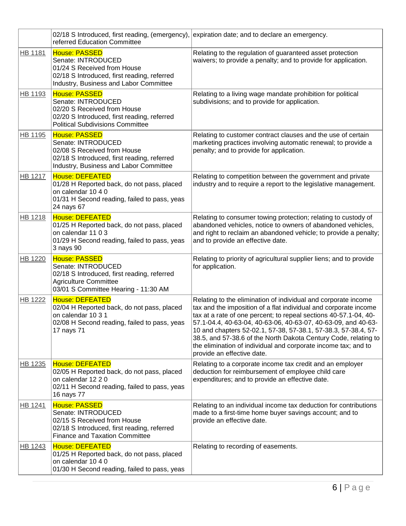|                | 02/18 S Introduced, first reading, (emergency),<br>referred Education Committee                                                                                     | expiration date; and to declare an emergency.                                                                                                                                                                                                                                                                                                                                                                                                                                                                |
|----------------|---------------------------------------------------------------------------------------------------------------------------------------------------------------------|--------------------------------------------------------------------------------------------------------------------------------------------------------------------------------------------------------------------------------------------------------------------------------------------------------------------------------------------------------------------------------------------------------------------------------------------------------------------------------------------------------------|
| HB 1181        | <b>House: PASSED</b><br>Senate: INTRODUCED<br>01/24 S Received from House<br>02/18 S Introduced, first reading, referred<br>Industry, Business and Labor Committee  | Relating to the regulation of guaranteed asset protection<br>waivers; to provide a penalty; and to provide for application.                                                                                                                                                                                                                                                                                                                                                                                  |
| HB 1193        | <b>House: PASSED</b><br>Senate: INTRODUCED<br>02/20 S Received from House<br>02/20 S Introduced, first reading, referred<br><b>Political Subdivisions Committee</b> | Relating to a living wage mandate prohibition for political<br>subdivisions; and to provide for application.                                                                                                                                                                                                                                                                                                                                                                                                 |
| HB 1195        | <b>House: PASSED</b><br>Senate: INTRODUCED<br>02/08 S Received from House<br>02/18 S Introduced, first reading, referred<br>Industry, Business and Labor Committee  | Relating to customer contract clauses and the use of certain<br>marketing practices involving automatic renewal; to provide a<br>penalty; and to provide for application.                                                                                                                                                                                                                                                                                                                                    |
| <b>HB 1217</b> | <b>House: DEFEATED</b><br>01/28 H Reported back, do not pass, placed<br>on calendar 10 4 0<br>01/31 H Second reading, failed to pass, yeas<br>24 nays 67            | Relating to competition between the government and private<br>industry and to require a report to the legislative management.                                                                                                                                                                                                                                                                                                                                                                                |
| HB 1218        | <b>House: DEFEATED</b><br>01/25 H Reported back, do not pass, placed<br>on calendar 11 0 3<br>01/29 H Second reading, failed to pass, yeas<br>3 nays 90             | Relating to consumer towing protection; relating to custody of<br>abandoned vehicles, notice to owners of abandoned vehicles,<br>and right to reclaim an abandoned vehicle; to provide a penalty;<br>and to provide an effective date.                                                                                                                                                                                                                                                                       |
| HB 1220        | <b>House: PASSED</b><br>Senate: INTRODUCED<br>02/18 S Introduced, first reading, referred<br><b>Agriculture Committee</b><br>03/01 S Committee Hearing - 11:30 AM   | Relating to priority of agricultural supplier liens; and to provide<br>for application.                                                                                                                                                                                                                                                                                                                                                                                                                      |
| HB 1222        | <b>House: DEFEATED</b><br>02/04 H Reported back, do not pass, placed<br>on calendar 10 3 1<br>02/08 H Second reading, failed to pass, yeas<br>17 nays 71            | Relating to the elimination of individual and corporate income<br>tax and the imposition of a flat individual and corporate income<br>tax at a rate of one percent; to repeal sections 40-57.1-04, 40-<br>57.1-04.4, 40-63-04, 40-63-06, 40-63-07, 40-63-09, and 40-63-<br>10 and chapters 52-02.1, 57-38, 57-38.1, 57-38.3, 57-38.4, 57-<br>38.5, and 57-38.6 of the North Dakota Century Code, relating to<br>the elimination of individual and corporate income tax; and to<br>provide an effective date. |
| HB 1235        | <b>House: DEFEATED</b><br>02/05 H Reported back, do not pass, placed<br>on calendar 12 2 0<br>02/11 H Second reading, failed to pass, yeas<br>16 nays 77            | Relating to a corporate income tax credit and an employer<br>deduction for reimbursement of employee child care<br>expenditures; and to provide an effective date.                                                                                                                                                                                                                                                                                                                                           |
| HB 1241        | <b>House: PASSED</b><br>Senate: INTRODUCED<br>02/15 S Received from House<br>02/18 S Introduced, first reading, referred<br><b>Finance and Taxation Committee</b>   | Relating to an individual income tax deduction for contributions<br>made to a first-time home buyer savings account; and to<br>provide an effective date.                                                                                                                                                                                                                                                                                                                                                    |
| HB 1243        | <b>House: DEFEATED</b><br>01/25 H Reported back, do not pass, placed<br>on calendar 10 4 0<br>01/30 H Second reading, failed to pass, yeas                          | Relating to recording of easements.                                                                                                                                                                                                                                                                                                                                                                                                                                                                          |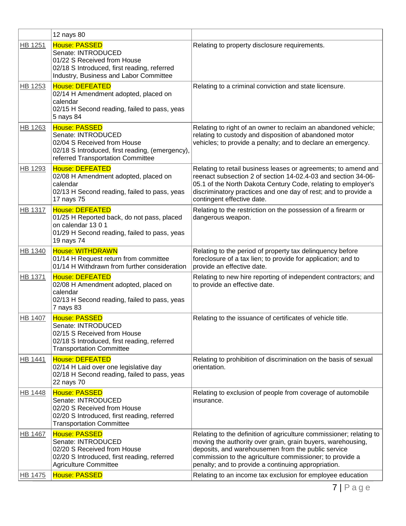|                | 12 nays 80                                                                                                                                                         |                                                                                                                                                                                                                                                                                                             |
|----------------|--------------------------------------------------------------------------------------------------------------------------------------------------------------------|-------------------------------------------------------------------------------------------------------------------------------------------------------------------------------------------------------------------------------------------------------------------------------------------------------------|
| HB 1251        | <b>House: PASSED</b><br>Senate: INTRODUCED<br>01/22 S Received from House<br>02/18 S Introduced, first reading, referred<br>Industry, Business and Labor Committee | Relating to property disclosure requirements.                                                                                                                                                                                                                                                               |
| HB 1253        | <b>House: DEFEATED</b><br>02/14 H Amendment adopted, placed on<br>calendar<br>02/15 H Second reading, failed to pass, yeas<br>5 nays 84                            | Relating to a criminal conviction and state licensure.                                                                                                                                                                                                                                                      |
| HB 1263        | <b>House: PASSED</b><br>Senate: INTRODUCED<br>02/04 S Received from House<br>02/18 S Introduced, first reading, (emergency),<br>referred Transportation Committee  | Relating to right of an owner to reclaim an abandoned vehicle;<br>relating to custody and disposition of abandoned motor<br>vehicles; to provide a penalty; and to declare an emergency.                                                                                                                    |
| HB 1293        | <b>House: DEFEATED</b><br>02/08 H Amendment adopted, placed on<br>calendar<br>02/13 H Second reading, failed to pass, yeas<br>17 nays 75                           | Relating to retail business leases or agreements; to amend and<br>reenact subsection 2 of section 14-02.4-03 and section 34-06-<br>05.1 of the North Dakota Century Code, relating to employer's<br>discriminatory practices and one day of rest; and to provide a<br>contingent effective date.            |
| <b>HB 1317</b> | <b>House: DEFEATED</b><br>01/25 H Reported back, do not pass, placed<br>on calendar 1301<br>01/29 H Second reading, failed to pass, yeas<br>19 nays 74             | Relating to the restriction on the possession of a firearm or<br>dangerous weapon.                                                                                                                                                                                                                          |
| HB 1340        | <b>House: WITHDRAWN</b><br>01/14 H Request return from committee<br>01/14 H Withdrawn from further consideration                                                   | Relating to the period of property tax delinquency before<br>foreclosure of a tax lien; to provide for application; and to<br>provide an effective date.                                                                                                                                                    |
| HB 1371        | <b>House: DEFEATED</b><br>02/08 H Amendment adopted, placed on<br>calendar<br>02/13 H Second reading, failed to pass, yeas<br>7 nays 83                            | Relating to new hire reporting of independent contractors; and<br>to provide an effective date.                                                                                                                                                                                                             |
| <b>HB 1407</b> | <b>House: PASSED</b><br>Senate: INTRODUCED<br>02/15 S Received from House<br>02/18 S Introduced, first reading, referred<br><b>Transportation Committee</b>        | Relating to the issuance of certificates of vehicle title.                                                                                                                                                                                                                                                  |
| HB 1441        | <b>House: DEFEATED</b><br>02/14 H Laid over one legislative day<br>02/18 H Second reading, failed to pass, yeas<br>22 nays 70                                      | Relating to prohibition of discrimination on the basis of sexual<br>orientation.                                                                                                                                                                                                                            |
| <b>HB 1448</b> | <b>House: PASSED</b><br>Senate: INTRODUCED<br>02/20 S Received from House<br>02/20 S Introduced, first reading, referred<br><b>Transportation Committee</b>        | Relating to exclusion of people from coverage of automobile<br>insurance.                                                                                                                                                                                                                                   |
| <b>HB 1467</b> | <b>House: PASSED</b><br>Senate: INTRODUCED<br>02/20 S Received from House<br>02/20 S Introduced, first reading, referred<br><b>Agriculture Committee</b>           | Relating to the definition of agriculture commissioner; relating to<br>moving the authority over grain, grain buyers, warehousing,<br>deposits, and warehousemen from the public service<br>commission to the agriculture commissioner; to provide a<br>penalty; and to provide a continuing appropriation. |
| HB 1475        | <b>House: PASSED</b>                                                                                                                                               | Relating to an income tax exclusion for employee education                                                                                                                                                                                                                                                  |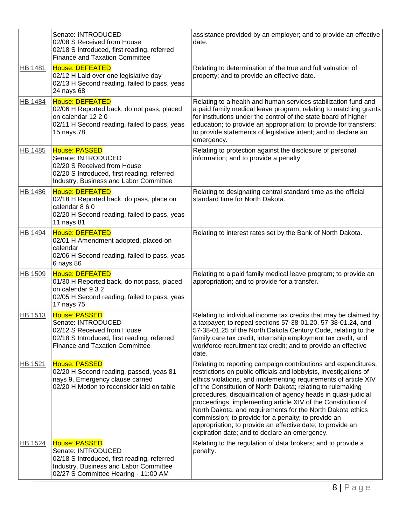|                | Senate: INTRODUCED<br>02/08 S Received from House<br>02/18 S Introduced, first reading, referred<br><b>Finance and Taxation Committee</b>                                   | assistance provided by an employer; and to provide an effective<br>date.                                                                                                                                                                                                                                                                                                                                                                                                                                                                                                                                                                    |
|----------------|-----------------------------------------------------------------------------------------------------------------------------------------------------------------------------|---------------------------------------------------------------------------------------------------------------------------------------------------------------------------------------------------------------------------------------------------------------------------------------------------------------------------------------------------------------------------------------------------------------------------------------------------------------------------------------------------------------------------------------------------------------------------------------------------------------------------------------------|
| <b>HB 1481</b> | <b>House: DEFEATED</b><br>02/12 H Laid over one legislative day<br>02/13 H Second reading, failed to pass, yeas<br>24 nays 68                                               | Relating to determination of the true and full valuation of<br>property; and to provide an effective date.                                                                                                                                                                                                                                                                                                                                                                                                                                                                                                                                  |
| <b>HB 1484</b> | <b>House: DEFEATED</b><br>02/06 H Reported back, do not pass, placed<br>on calendar 12 2 0<br>02/11 H Second reading, failed to pass, yeas<br>15 nays 78                    | Relating to a health and human services stabilization fund and<br>a paid family medical leave program; relating to matching grants<br>for institutions under the control of the state board of higher<br>education; to provide an appropriation; to provide for transfers;<br>to provide statements of legislative intent; and to declare an<br>emergency.                                                                                                                                                                                                                                                                                  |
| HB 1485        | House: PASSED<br>Senate: INTRODUCED<br>02/20 S Received from House<br>02/20 S Introduced, first reading, referred<br>Industry, Business and Labor Committee                 | Relating to protection against the disclosure of personal<br>information; and to provide a penalty.                                                                                                                                                                                                                                                                                                                                                                                                                                                                                                                                         |
| <b>HB 1486</b> | <b>House: DEFEATED</b><br>02/18 H Reported back, do pass, place on<br>calendar 8 6 0<br>02/20 H Second reading, failed to pass, yeas<br>11 nays 81                          | Relating to designating central standard time as the official<br>standard time for North Dakota.                                                                                                                                                                                                                                                                                                                                                                                                                                                                                                                                            |
| HB 1494        | House: DEFEATED<br>02/01 H Amendment adopted, placed on<br>calendar<br>02/06 H Second reading, failed to pass, yeas<br>6 nays 86                                            | Relating to interest rates set by the Bank of North Dakota.                                                                                                                                                                                                                                                                                                                                                                                                                                                                                                                                                                                 |
| HB 1509        | House: DEFEATED<br>01/30 H Reported back, do not pass, placed<br>on calendar 9 3 2<br>02/05 H Second reading, failed to pass, yeas<br>17 nays 75                            | Relating to a paid family medical leave program; to provide an<br>appropriation; and to provide for a transfer.                                                                                                                                                                                                                                                                                                                                                                                                                                                                                                                             |
| HB 1513        | <b>House: PASSED</b><br>Senate: INTRODUCED<br>02/12 S Received from House<br>02/18 S Introduced, first reading, referred<br><b>Finance and Taxation Committee</b>           | Relating to individual income tax credits that may be claimed by<br>a taxpayer; to repeal sections 57-38-01.20, 57-38-01.24, and<br>57-38-01.25 of the North Dakota Century Code, relating to the<br>family care tax credit, internship employment tax credit, and<br>workforce recruitment tax credit; and to provide an effective<br>date.                                                                                                                                                                                                                                                                                                |
| HB 1521        | <b>House: PASSED</b><br>02/20 H Second reading, passed, yeas 81<br>nays 9, Emergency clause carried<br>02/20 H Motion to reconsider laid on table                           | Relating to reporting campaign contributions and expenditures,<br>restrictions on public officials and lobbyists, investigations of<br>ethics violations, and implementing requirements of article XIV<br>of the Constitution of North Dakota; relating to rulemaking<br>procedures, disqualification of agency heads in quasi-judicial<br>proceedings, implementing article XIV of the Constitution of<br>North Dakota, and requirements for the North Dakota ethics<br>commission; to provide for a penalty; to provide an<br>appropriation; to provide an effective date; to provide an<br>expiration date; and to declare an emergency. |
| HB 1524        | <b>House: PASSED</b><br>Senate: INTRODUCED<br>02/18 S Introduced, first reading, referred<br>Industry, Business and Labor Committee<br>02/27 S Committee Hearing - 11:00 AM | Relating to the regulation of data brokers; and to provide a<br>penalty.                                                                                                                                                                                                                                                                                                                                                                                                                                                                                                                                                                    |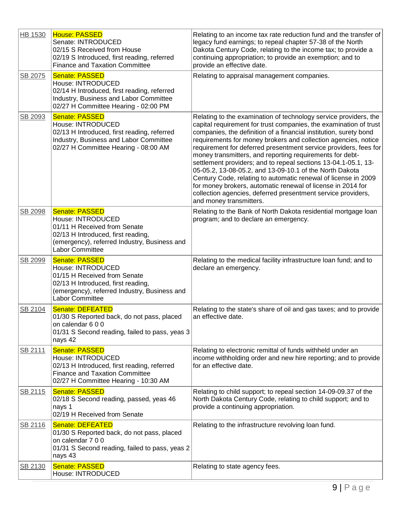| HB 1530 | <b>House: PASSED</b><br>Senate: INTRODUCED<br>02/15 S Received from House<br>02/19 S Introduced, first reading, referred<br><b>Finance and Taxation Committee</b>                          | Relating to an income tax rate reduction fund and the transfer of<br>legacy fund earnings; to repeal chapter 57-38 of the North<br>Dakota Century Code, relating to the income tax; to provide a<br>continuing appropriation; to provide an exemption; and to<br>provide an effective date.                                                                                                                                                                                                                                                                                                                                                                                                                                                                           |
|---------|--------------------------------------------------------------------------------------------------------------------------------------------------------------------------------------------|-----------------------------------------------------------------------------------------------------------------------------------------------------------------------------------------------------------------------------------------------------------------------------------------------------------------------------------------------------------------------------------------------------------------------------------------------------------------------------------------------------------------------------------------------------------------------------------------------------------------------------------------------------------------------------------------------------------------------------------------------------------------------|
| SB 2075 | <b>Senate: PASSED</b><br>House: INTRODUCED<br>02/14 H Introduced, first reading, referred<br>Industry, Business and Labor Committee<br>02/27 H Committee Hearing - 02:00 PM                | Relating to appraisal management companies.                                                                                                                                                                                                                                                                                                                                                                                                                                                                                                                                                                                                                                                                                                                           |
| SB 2093 | <b>Senate: PASSED</b><br>House: INTRODUCED<br>02/13 H Introduced, first reading, referred<br>Industry, Business and Labor Committee<br>02/27 H Committee Hearing - 08:00 AM                | Relating to the examination of technology service providers, the<br>capital requirement for trust companies, the examination of trust<br>companies, the definition of a financial institution, surety bond<br>requirements for money brokers and collection agencies, notice<br>requirement for deferred presentment service providers, fees for<br>money transmitters, and reporting requirements for debt-<br>settlement providers; and to repeal sections 13-04.1-05.1, 13-<br>05-05.2, 13-08-05.2, and 13-09-10.1 of the North Dakota<br>Century Code, relating to automatic renewal of license in 2009<br>for money brokers, automatic renewal of license in 2014 for<br>collection agencies, deferred presentment service providers,<br>and money transmitters. |
| SB 2098 | <b>Senate: PASSED</b><br>House: INTRODUCED<br>01/11 H Received from Senate<br>02/13 H Introduced, first reading,<br>(emergency), referred Industry, Business and<br><b>Labor Committee</b> | Relating to the Bank of North Dakota residential mortgage loan<br>program; and to declare an emergency.                                                                                                                                                                                                                                                                                                                                                                                                                                                                                                                                                                                                                                                               |
| SB 2099 | <b>Senate: PASSED</b><br>House: INTRODUCED<br>01/15 H Received from Senate<br>02/13 H Introduced, first reading,<br>(emergency), referred Industry, Business and<br>Labor Committee        | Relating to the medical facility infrastructure loan fund; and to<br>declare an emergency.                                                                                                                                                                                                                                                                                                                                                                                                                                                                                                                                                                                                                                                                            |
| SB 2104 | <b>Senate: DEFEATED</b><br>01/30 S Reported back, do not pass, placed<br>on calendar 600<br>01/31 S Second reading, failed to pass, yeas 3<br>nays 42                                      | Relating to the state's share of oil and gas taxes; and to provide<br>an effective date.                                                                                                                                                                                                                                                                                                                                                                                                                                                                                                                                                                                                                                                                              |
| SB 2111 | Senate: PASSED<br>House: INTRODUCED<br>02/13 H Introduced, first reading, referred<br><b>Finance and Taxation Committee</b><br>02/27 H Committee Hearing - 10:30 AM                        | Relating to electronic remittal of funds withheld under an<br>income withholding order and new hire reporting; and to provide<br>for an effective date.                                                                                                                                                                                                                                                                                                                                                                                                                                                                                                                                                                                                               |
| SB 2115 | <b>Senate: PASSED</b><br>02/18 S Second reading, passed, yeas 46<br>nays 1<br>02/19 H Received from Senate                                                                                 | Relating to child support; to repeal section 14-09-09.37 of the<br>North Dakota Century Code, relating to child support; and to<br>provide a continuing appropriation.                                                                                                                                                                                                                                                                                                                                                                                                                                                                                                                                                                                                |
| SB 2116 | <b>Senate: DEFEATED</b><br>01/30 S Reported back, do not pass, placed<br>on calendar 7 0 0<br>01/31 S Second reading, failed to pass, yeas 2<br>nays 43                                    | Relating to the infrastructure revolving loan fund.                                                                                                                                                                                                                                                                                                                                                                                                                                                                                                                                                                                                                                                                                                                   |
| SB 2130 | <b>Senate: PASSED</b><br>House: INTRODUCED                                                                                                                                                 | Relating to state agency fees.                                                                                                                                                                                                                                                                                                                                                                                                                                                                                                                                                                                                                                                                                                                                        |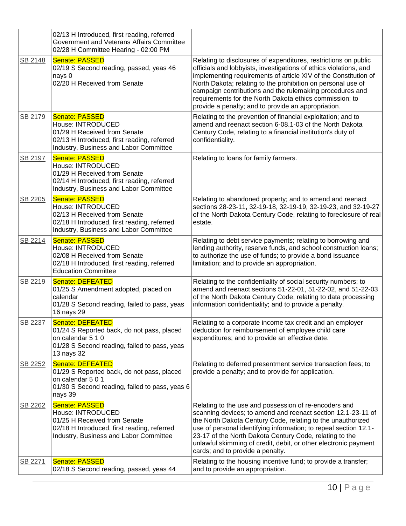|         | 02/13 H Introduced, first reading, referred<br>Government and Veterans Affairs Committee<br>02/28 H Committee Hearing - 02:00 PM                                    |                                                                                                                                                                                                                                                                                                                                                                                                                                                       |
|---------|---------------------------------------------------------------------------------------------------------------------------------------------------------------------|-------------------------------------------------------------------------------------------------------------------------------------------------------------------------------------------------------------------------------------------------------------------------------------------------------------------------------------------------------------------------------------------------------------------------------------------------------|
| SB 2148 | <b>Senate: PASSED</b><br>02/19 S Second reading, passed, yeas 46<br>nays 0<br>02/20 H Received from Senate                                                          | Relating to disclosures of expenditures, restrictions on public<br>officials and lobbyists, investigations of ethics violations, and<br>implementing requirements of article XIV of the Constitution of<br>North Dakota; relating to the prohibition on personal use of<br>campaign contributions and the rulemaking procedures and<br>requirements for the North Dakota ethics commission; to<br>provide a penalty; and to provide an appropriation. |
| SB 2179 | Senate: PASSED<br>House: INTRODUCED<br>01/29 H Received from Senate<br>02/13 H Introduced, first reading, referred<br>Industry, Business and Labor Committee        | Relating to the prevention of financial exploitation; and to<br>amend and reenact section 6-08.1-03 of the North Dakota<br>Century Code, relating to a financial institution's duty of<br>confidentiality.                                                                                                                                                                                                                                            |
| SB 2197 | <b>Senate: PASSED</b><br>House: INTRODUCED<br>01/29 H Received from Senate<br>02/14 H Introduced, first reading, referred<br>Industry, Business and Labor Committee | Relating to loans for family farmers.                                                                                                                                                                                                                                                                                                                                                                                                                 |
| SB 2205 | <b>Senate: PASSED</b><br>House: INTRODUCED<br>02/13 H Received from Senate<br>02/18 H Introduced, first reading, referred<br>Industry, Business and Labor Committee | Relating to abandoned property; and to amend and reenact<br>sections 28-23-11, 32-19-18, 32-19-19, 32-19-23, and 32-19-27<br>of the North Dakota Century Code, relating to foreclosure of real<br>estate.                                                                                                                                                                                                                                             |
| SB 2214 | <b>Senate: PASSED</b><br>House: INTRODUCED<br>02/08 H Received from Senate<br>02/18 H Introduced, first reading, referred<br><b>Education Committee</b>             | Relating to debt service payments; relating to borrowing and<br>lending authority, reserve funds, and school construction loans;<br>to authorize the use of funds; to provide a bond issuance<br>limitation; and to provide an appropriation.                                                                                                                                                                                                         |
| SB 2219 | Senate: DEFEATED<br>01/25 S Amendment adopted, placed on<br>calendar<br>01/28 S Second reading, failed to pass, yeas<br>16 nays 29                                  | Relating to the confidentiality of social security numbers; to<br>amend and reenact sections 51-22-01, 51-22-02, and 51-22-03<br>of the North Dakota Century Code, relating to data processing<br>information confidentiality; and to provide a penalty.                                                                                                                                                                                              |
| SB 2237 | Senate: DEFEATED<br>01/24 S Reported back, do not pass, placed<br>on calendar 5 1 0<br>01/28 S Second reading, failed to pass, yeas<br>13 nays 32                   | Relating to a corporate income tax credit and an employer<br>deduction for reimbursement of employee child care<br>expenditures; and to provide an effective date.                                                                                                                                                                                                                                                                                    |
| SB 2252 | Senate: DEFEATED<br>01/29 S Reported back, do not pass, placed<br>on calendar 5 0 1<br>01/30 S Second reading, failed to pass, yeas 6<br>nays 39                    | Relating to deferred presentment service transaction fees; to<br>provide a penalty; and to provide for application.                                                                                                                                                                                                                                                                                                                                   |
| SB 2262 | <b>Senate: PASSED</b><br>House: INTRODUCED<br>01/25 H Received from Senate<br>02/18 H Introduced, first reading, referred<br>Industry, Business and Labor Committee | Relating to the use and possession of re-encoders and<br>scanning devices; to amend and reenact section 12.1-23-11 of<br>the North Dakota Century Code, relating to the unauthorized<br>use of personal identifying information; to repeal section 12.1-<br>23-17 of the North Dakota Century Code, relating to the<br>unlawful skimming of credit, debit, or other electronic payment<br>cards; and to provide a penalty.                            |
| SB 2271 | <b>Senate: PASSED</b><br>02/18 S Second reading, passed, yeas 44                                                                                                    | Relating to the housing incentive fund; to provide a transfer;<br>and to provide an appropriation.                                                                                                                                                                                                                                                                                                                                                    |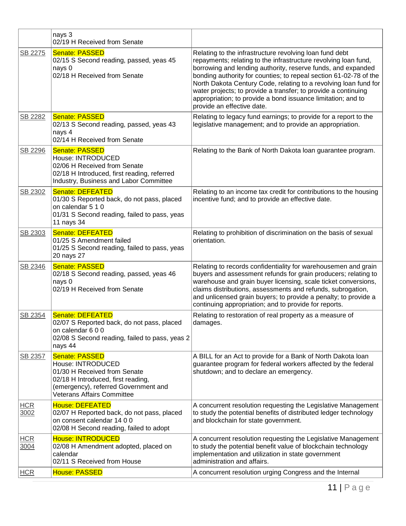|                    | nays 3<br>02/19 H Received from Senate                                                                                                                                                        |                                                                                                                                                                                                                                                                                                                                                                                                                                                                                                     |
|--------------------|-----------------------------------------------------------------------------------------------------------------------------------------------------------------------------------------------|-----------------------------------------------------------------------------------------------------------------------------------------------------------------------------------------------------------------------------------------------------------------------------------------------------------------------------------------------------------------------------------------------------------------------------------------------------------------------------------------------------|
| SB 2275            | <b>Senate: PASSED</b><br>02/15 S Second reading, passed, yeas 45<br>nays 0<br>02/18 H Received from Senate                                                                                    | Relating to the infrastructure revolving loan fund debt<br>repayments; relating to the infrastructure revolving loan fund,<br>borrowing and lending authority, reserve funds, and expanded<br>bonding authority for counties; to repeal section 61-02-78 of the<br>North Dakota Century Code, relating to a revolving loan fund for<br>water projects; to provide a transfer; to provide a continuing<br>appropriation; to provide a bond issuance limitation; and to<br>provide an effective date. |
| SB 2282            | <b>Senate: PASSED</b><br>02/13 S Second reading, passed, yeas 43<br>nays 4<br>02/14 H Received from Senate                                                                                    | Relating to legacy fund earnings; to provide for a report to the<br>legislative management; and to provide an appropriation.                                                                                                                                                                                                                                                                                                                                                                        |
| SB 2296            | <b>Senate: PASSED</b><br>House: INTRODUCED<br>02/06 H Received from Senate<br>02/18 H Introduced, first reading, referred<br>Industry, Business and Labor Committee                           | Relating to the Bank of North Dakota loan guarantee program.                                                                                                                                                                                                                                                                                                                                                                                                                                        |
| SB 2302            | <b>Senate: DEFEATED</b><br>01/30 S Reported back, do not pass, placed<br>on calendar 5 1 0<br>01/31 S Second reading, failed to pass, yeas<br>11 nays 34                                      | Relating to an income tax credit for contributions to the housing<br>incentive fund; and to provide an effective date.                                                                                                                                                                                                                                                                                                                                                                              |
| SB 2303            | Senate: DEFEATED<br>01/25 S Amendment failed<br>01/25 S Second reading, failed to pass, yeas<br>20 nays 27                                                                                    | Relating to prohibition of discrimination on the basis of sexual<br>orientation.                                                                                                                                                                                                                                                                                                                                                                                                                    |
| SB 2346            | Senate: PASSED<br>02/18 S Second reading, passed, yeas 46<br>nays 0<br>02/19 H Received from Senate                                                                                           | Relating to records confidentiality for warehousemen and grain<br>buyers and assessment refunds for grain producers; relating to<br>warehouse and grain buyer licensing, scale ticket conversions,<br>claims distributions, assessments and refunds, subrogation,<br>and unlicensed grain buyers; to provide a penalty; to provide a<br>continuing appropriation; and to provide for reports.                                                                                                       |
| SB 2354            | <b>Senate: DEFEATED</b><br>02/07 S Reported back, do not pass, placed<br>on calendar 6 0 0<br>02/08 S Second reading, failed to pass, yeas 2<br>nays 44                                       | Relating to restoration of real property as a measure of<br>damages.                                                                                                                                                                                                                                                                                                                                                                                                                                |
| SB 2357            | <b>Senate: PASSED</b><br>House: INTRODUCED<br>01/30 H Received from Senate<br>02/18 H Introduced, first reading,<br>(emergency), referred Government and<br><b>Veterans Affairs Committee</b> | A BILL for an Act to provide for a Bank of North Dakota loan<br>guarantee program for federal workers affected by the federal<br>shutdown; and to declare an emergency.                                                                                                                                                                                                                                                                                                                             |
| <b>HCR</b><br>3002 | <b>House: DEFEATED</b><br>02/07 H Reported back, do not pass, placed<br>on consent calendar 14 0 0<br>02/08 H Second reading, failed to adopt                                                 | A concurrent resolution requesting the Legislative Management<br>to study the potential benefits of distributed ledger technology<br>and blockchain for state government.                                                                                                                                                                                                                                                                                                                           |
| <b>HCR</b><br>3004 | <b>House: INTRODUCED</b><br>02/08 H Amendment adopted, placed on<br>calendar<br>02/11 S Received from House                                                                                   | A concurrent resolution requesting the Legislative Management<br>to study the potential benefit value of blockchain technology<br>implementation and utilization in state government<br>administration and affairs.                                                                                                                                                                                                                                                                                 |
| <b>HCR</b>         | <b>House: PASSED</b>                                                                                                                                                                          | A concurrent resolution urging Congress and the Internal                                                                                                                                                                                                                                                                                                                                                                                                                                            |